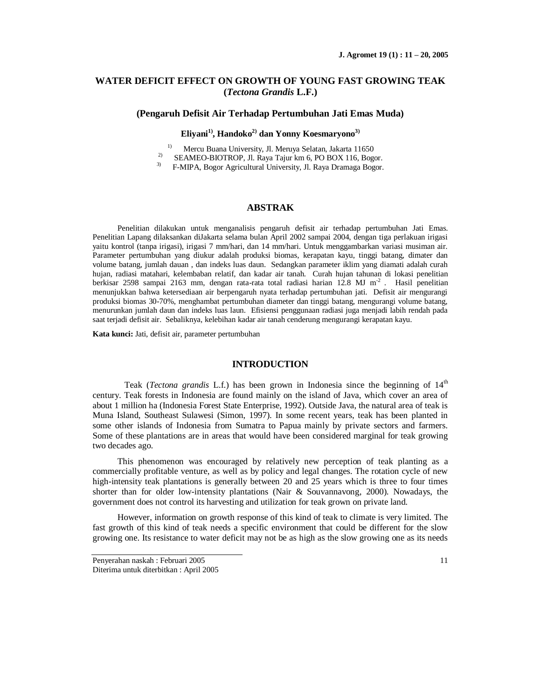# **WATER DEFICIT EFFECT ON GROWTH OF YOUNG FAST GROWING TEAK (***Tectona Grandis* **L.F.)**

## **(Pengaruh Defisit Air Terhadap Pertumbuhan Jati Emas Muda)**

# **Eliyani1), Handoko2) dan Yonny Koesmaryono3)**

<sup>1)</sup> Mercu Buana University, Jl. Meruya Selatan, Jakarta 11650

- <sup>2)</sup> SEAMEO-BIOTROP, Jl. Raya Tajur km 6, PO BOX 116, Bogor.<br><sup>3)</sup> EMIPA Bogor Agricultural University, Jl. Raya Dramaga Bogor.
- 3) F-MIPA, Bogor Agricultural University, Jl. Raya Dramaga Bogor.

# **ABSTRAK**

Penelitian dilakukan untuk menganalisis pengaruh defisit air terhadap pertumbuhan Jati Emas. Penelitian Lapang dilaksankan diJakarta selama bulan April 2002 sampai 2004, dengan tiga perlakuan irigasi yaitu kontrol (tanpa irigasi), irigasi 7 mm/hari, dan 14 mm/hari. Untuk menggambarkan variasi musiman air. Parameter pertumbuhan yang diukur adalah produksi biomas, kerapatan kayu, tinggi batang, dimater dan volume batang, jumlah dauan , dan indeks luas daun. Sedangkan parameter iklim yang diamati adalah curah hujan, radiasi matahari, kelembaban relatif, dan kadar air tanah. Curah hujan tahunan di lokasi penelitian berkisar 2598 sampai 2163 mm, dengan rata-rata total radiasi harian 12.8 MJ m<sup>-2</sup>. Hasil penelitian menunjukkan bahwa ketersediaan air berpengaruh nyata terhadap pertumbuhan jati. Defisit air mengurangi produksi biomas 30-70%, menghambat pertumbuhan diameter dan tinggi batang, mengurangi volume batang, menurunkan jumlah daun dan indeks luas laun. Efisiensi penggunaan radiasi juga menjadi labih rendah pada saat terjadi defisit air. Sebaliknya, kelebihan kadar air tanah cenderung mengurangi kerapatan kayu.

**Kata kunci:** Jati, defisit air, parameter pertumbuhan

# **INTRODUCTION**

Teak (*Tectona grandis* L.f.) has been grown in Indonesia since the beginning of 14<sup>th</sup> century. Teak forests in Indonesia are found mainly on the island of Java, which cover an area of about 1 million ha (Indonesia Forest State Enterprise, 1992). Outside Java, the natural area of teak is Muna Island, Southeast Sulawesi (Simon, 1997). In some recent years, teak has been planted in some other islands of Indonesia from Sumatra to Papua mainly by private sectors and farmers. Some of these plantations are in areas that would have been considered marginal for teak growing two decades ago.

This phenomenon was encouraged by relatively new perception of teak planting as a commercially profitable venture, as well as by policy and legal changes. The rotation cycle of new high-intensity teak plantations is generally between 20 and 25 years which is three to four times shorter than for older low-intensity plantations (Nair & Souvannavong, 2000). Nowadays, the government does not control its harvesting and utilization for teak grown on private land.

However, information on growth response of this kind of teak to climate is very limited. The fast growth of this kind of teak needs a specific environment that could be different for the slow growing one. Its resistance to water deficit may not be as high as the slow growing one as its needs

Penyerahan naskah : Februari 2005 11 Diterima untuk diterbitkan : April 2005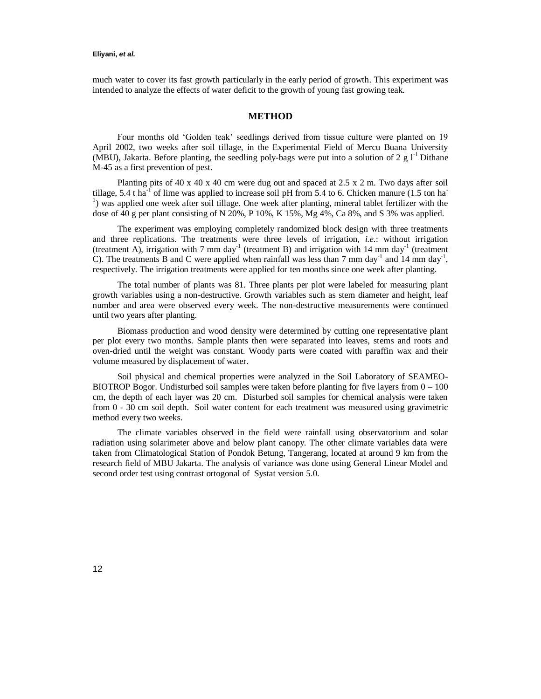### **Eliyani,** *et al.*

much water to cover its fast growth particularly in the early period of growth. This experiment was intended to analyze the effects of water deficit to the growth of young fast growing teak.

## **METHOD**

Four months old 'Golden teak' seedlings derived from tissue culture were planted on 19 April 2002, two weeks after soil tillage, in the Experimental Field of Mercu Buana University (MBU), Jakarta. Before planting, the seedling poly-bags were put into a solution of 2 g  $1<sup>-1</sup>$  Dithane M-45 as a first prevention of pest.

Planting pits of 40 x 40 x 40 cm were dug out and spaced at 2.5 x 2 m. Two days after soil tillage, 5.4 t ha<sup>-1</sup> of lime was applied to increase soil pH from 5.4 to 6. Chicken manure (1.5 ton ha<sup>-1</sup> <sup>1</sup>) was applied one week after soil tillage. One week after planting, mineral tablet fertilizer with the dose of 40 g per plant consisting of N 20%, P 10%, K 15%, Mg 4%, Ca 8%, and S 3% was applied.

The experiment was employing completely randomized block design with three treatments and three replications. The treatments were three levels of irrigation, *i.e.*: without irrigation (treatment A), irrigation with 7 mm day<sup>-1</sup> (treatment B) and irrigation with 14 mm day<sup>-1</sup> (treatment C). The treatments B and C were applied when rainfall was less than 7 mm day<sup>-1</sup> and 14 mm day<sup>-1</sup>, respectively. The irrigation treatments were applied for ten months since one week after planting.

The total number of plants was 81. Three plants per plot were labeled for measuring plant growth variables using a non-destructive. Growth variables such as stem diameter and height, leaf number and area were observed every week. The non-destructive measurements were continued until two years after planting.

Biomass production and wood density were determined by cutting one representative plant per plot every two months. Sample plants then were separated into leaves, stems and roots and oven-dried until the weight was constant. Woody parts were coated with paraffin wax and their volume measured by displacement of water.

Soil physical and chemical properties were analyzed in the Soil Laboratory of SEAMEO-BIOTROP Bogor. Undisturbed soil samples were taken before planting for five layers from  $0 - 100$ cm, the depth of each layer was 20 cm. Disturbed soil samples for chemical analysis were taken from 0 - 30 cm soil depth. Soil water content for each treatment was measured using gravimetric method every two weeks.

The climate variables observed in the field were rainfall using observatorium and solar radiation using solarimeter above and below plant canopy. The other climate variables data were taken from Climatological Station of Pondok Betung, Tangerang, located at around 9 km from the research field of MBU Jakarta. The analysis of variance was done using General Linear Model and second order test using contrast ortogonal of Systat version 5.0.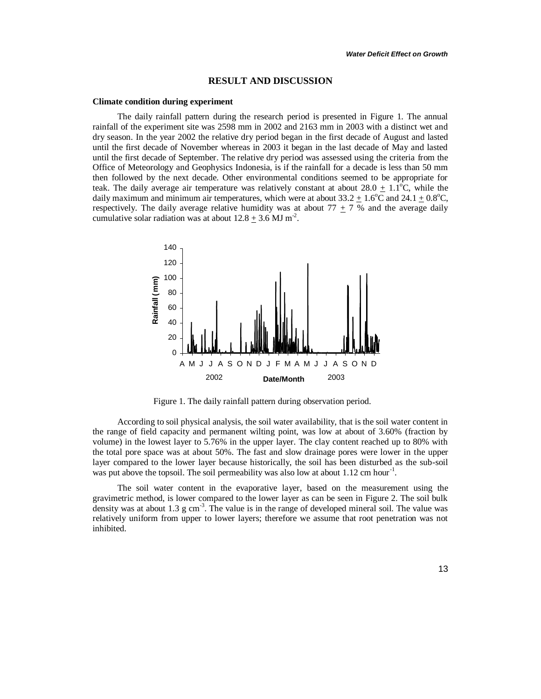#### **RESULT AND DISCUSSION**

#### **Climate condition during experiment**

The daily rainfall pattern during the research period is presented in Figure 1. The annual rainfall of the experiment site was 2598 mm in 2002 and 2163 mm in 2003 with a distinct wet and dry season. In the year 2002 the relative dry period began in the first decade of August and lasted until the first decade of November whereas in 2003 it began in the last decade of May and lasted until the first decade of September. The relative dry period was assessed using the criteria from the Office of Meteorology and Geophysics Indonesia, is if the rainfall for a decade is less than 50 mm then followed by the next decade. Other environmental conditions seemed to be appropriate for teak. The daily average air temperature was relatively constant at about  $28.0 \pm 1.1^{\circ}$ C, while the daily maximum and minimum air temperatures, which were at about  $33.2 + 1.6^{\circ}$ C and  $24.1 + 0.8^{\circ}$ C, respectively. The daily average relative humidity was at about  $77 \pm 7$  % and the average daily cumulative solar radiation was at about  $12.8 \pm 3.6$  MJ m<sup>-2</sup>.



Figure 1. The daily rainfall pattern during observation period.

According to soil physical analysis, the soil water availability, that is the soil water content in the range of field capacity and permanent wilting point, was low at about of 3.60% (fraction by volume) in the lowest layer to 5.76% in the upper layer. The clay content reached up to 80% with the total pore space was at about 50%. The fast and slow drainage pores were lower in the upper layer compared to the lower layer because historically, the soil has been disturbed as the sub-soil was put above the topsoil. The soil permeability was also low at about 1.12 cm hour<sup>-1</sup>.

The soil water content in the evaporative layer, based on the measurement using the gravimetric method, is lower compared to the lower layer as can be seen in Figure 2. The soil bulk density was at about 1.3  $\text{g cm}^{-3}$ . The value is in the range of developed mineral soil. The value was relatively uniform from upper to lower layers; therefore we assume that root penetration was not inhibited.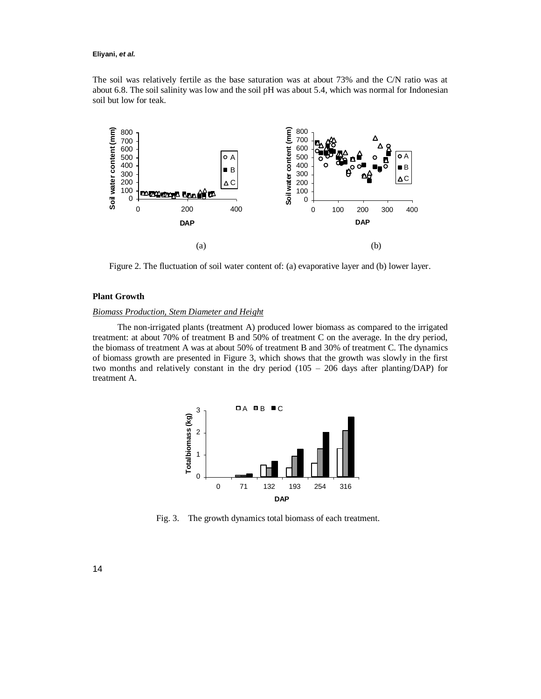#### **Eliyani,** *et al.*

The soil was relatively fertile as the base saturation was at about 73% and the C/N ratio was at about 6.8. The soil salinity was low and the soil pH was about 5.4, which was normal for Indonesian soil but low for teak.



Figure 2. The fluctuation of soil water content of: (a) evaporative layer and (b) lower layer.

## **Plant Growth**

### *Biomass Production, Stem Diameter and Height*

The non-irrigated plants (treatment A) produced lower biomass as compared to the irrigated treatment: at about 70% of treatment B and 50% of treatment C on the average. In the dry period, the biomass of treatment A was at about 50% of treatment B and 30% of treatment C. The dynamics of biomass growth are presented in Figure 3, which shows that the growth was slowly in the first two months and relatively constant in the dry period (105 – 206 days after planting/DAP) for treatment A.



Fig. 3. The growth dynamics total biomass of each treatment.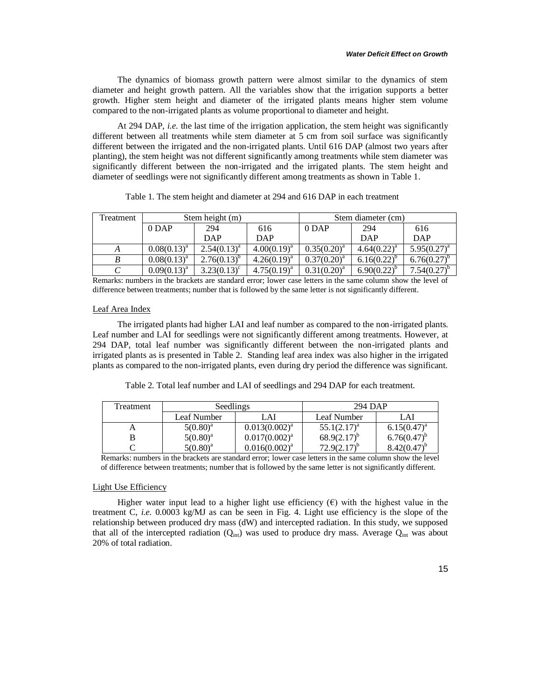The dynamics of biomass growth pattern were almost similar to the dynamics of stem diameter and height growth pattern. All the variables show that the irrigation supports a better growth. Higher stem height and diameter of the irrigated plants means higher stem volume compared to the non-irrigated plants as volume proportional to diameter and height.

At 294 DAP, *i.e.* the last time of the irrigation application, the stem height was significantly different between all treatments while stem diameter at 5 cm from soil surface was significantly different between the irrigated and the non-irrigated plants. Until 616 DAP (almost two years after planting), the stem height was not different significantly among treatments while stem diameter was significantly different between the non-irrigated and the irrigated plants. The stem height and diameter of seedlings were not significantly different among treatments as shown in Table 1.

| Treatment | Stem height (m)  |                  |                | Stem diameter (cm) |                  |                  |
|-----------|------------------|------------------|----------------|--------------------|------------------|------------------|
|           | $0$ DAP          | 294              | 616            | $0$ DAP            | 294              | 616              |
|           |                  | DAP              | DAP            |                    | DAP              | DAP              |
|           | $0.08(0.13)^{a}$ | $2.54(0.13)^{a}$ | $4.00(0.19)^a$ | $0.35(0.20)^a$     | $4.64(0.22)^{a}$ | $5.95(0.27)^{a}$ |
|           | $0.08(0.13)^{a}$ | $2.76(0.13)^{b}$ | $4.26(0.19)^a$ | $0.37(0.20)^a$     | $6.16(0.22)^{b}$ | $6.76(0.27)^{b}$ |
|           | $0.09(0.13)^{a}$ | $3.23(0.13)^c$   | $4.75(0.19)^a$ | $0.31(0.20)^a$     | $6.90(0.22)^{b}$ | $7.54(0.27)^{o}$ |

Table 1. The stem height and diameter at 294 and 616 DAP in each treatment

Remarks: numbers in the brackets are standard error; lower case letters in the same column show the level of difference between treatments; number that is followed by the same letter is not significantly different.

#### Leaf Area Index

The irrigated plants had higher LAI and leaf number as compared to the non-irrigated plants. Leaf number and LAI for seedlings were not significantly different among treatments. However, at 294 DAP, total leaf number was significantly different between the non-irrigated plants and irrigated plants as is presented in Table 2. Standing leaf area index was also higher in the irrigated plants as compared to the non-irrigated plants, even during dry period the difference was significant.

Table 2. Total leaf number and LAI of seedlings and 294 DAP for each treatment.

| <b>Treatment</b> | <b>Seedlings</b> |                    | 294 DAP          |                  |  |
|------------------|------------------|--------------------|------------------|------------------|--|
|                  | Leaf Number      | LAI                | Leaf Number      | LAI              |  |
|                  | $5(0.80)^{a}$    | $0.013(0.002)^{a}$ | $55.1(2.17)^{a}$ | $6.15(0.47)^{a}$ |  |
|                  | $5(0.80)^a$      | $0.017(0.002)^{a}$ | $68.9(2.17)^{b}$ | $6.76(0.47)^t$   |  |
|                  | $5(0.80)^{a}$    | $0.016(0.002)^{4}$ | $72.9(2.17)^{o}$ | 8.42(0.47)       |  |

Remarks: numbers in the brackets are standard error; lower case letters in the same column show the level of difference between treatments; number that is followed by the same letter is not significantly different.

### Light Use Efficiency

Higher water input lead to a higher light use efficiency  $(\epsilon)$  with the highest value in the treatment C, *i.e.* 0.0003 kg/MJ as can be seen in Fig. 4. Light use efficiency is the slope of the relationship between produced dry mass (dW) and intercepted radiation. In this study, we supposed that all of the intercepted radiation  $(Q_{\text{int}})$  was used to produce dry mass. Average  $Q_{\text{int}}$  was about 20% of total radiation.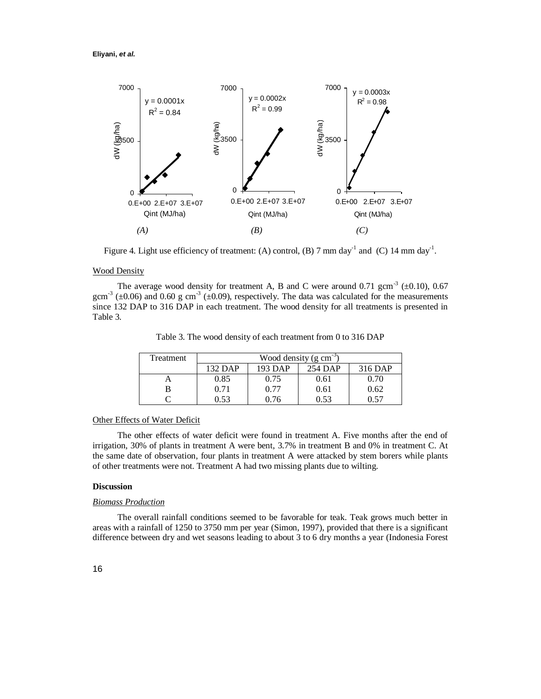

Figure 4. Light use efficiency of treatment: (A) control, (B) 7 mm day<sup>-1</sup> and (C) 14 mm day<sup>-1</sup>.

## Wood Density

The average wood density for treatment A, B and C were around 0.71 gcm<sup>-3</sup> ( $\pm$ 0.10), 0.67 gcm<sup>-3</sup> ( $\pm$ 0.06) and 0.60 g cm<sup>-3</sup> ( $\pm$ 0.09), respectively. The data was calculated for the measurements since 132 DAP to 316 DAP in each treatment. The wood density for all treatments is presented in Table 3.

Table 3. The wood density of each treatment from 0 to 316 DAP

| Treatment | Wood density (g cm <sup>-3)</sup> |         |         |         |  |  |
|-----------|-----------------------------------|---------|---------|---------|--|--|
|           | 132 DAP                           | 193 DAP | 254 DAP | 316 DAP |  |  |
|           | 0.85                              | 0.75    | 0.61    | 0.70    |  |  |
|           | 0.71                              | 0.77    | 0.61    | 0.62    |  |  |
|           | 0.53                              | በ 76    | 0.53    | በ 57    |  |  |

## Other Effects of Water Deficit

The other effects of water deficit were found in treatment A. Five months after the end of irrigation, 30% of plants in treatment A were bent, 3.7% in treatment B and 0% in treatment C. At the same date of observation, four plants in treatment A were attacked by stem borers while plants of other treatments were not. Treatment A had two missing plants due to wilting.

### **Discussion**

#### *Biomass Production*

The overall rainfall conditions seemed to be favorable for teak. Teak grows much better in areas with a rainfall of 1250 to 3750 mm per year (Simon, 1997), provided that there is a significant difference between dry and wet seasons leading to about 3 to 6 dry months a year (Indonesia Forest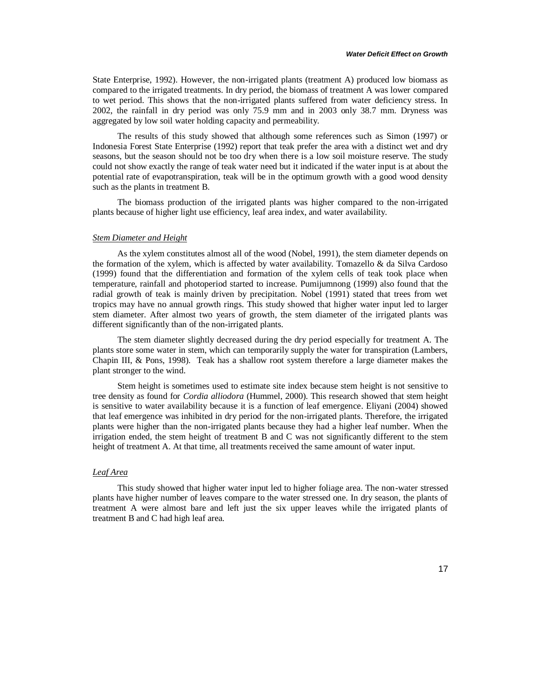State Enterprise, 1992). However, the non-irrigated plants (treatment A) produced low biomass as compared to the irrigated treatments. In dry period, the biomass of treatment A was lower compared to wet period. This shows that the non-irrigated plants suffered from water deficiency stress. In 2002, the rainfall in dry period was only 75.9 mm and in 2003 only 38.7 mm. Dryness was aggregated by low soil water holding capacity and permeability.

The results of this study showed that although some references such as Simon (1997) or Indonesia Forest State Enterprise (1992) report that teak prefer the area with a distinct wet and dry seasons, but the season should not be too dry when there is a low soil moisture reserve. The study could not show exactly the range of teak water need but it indicated if the water input is at about the potential rate of evapotranspiration, teak will be in the optimum growth with a good wood density such as the plants in treatment B.

The biomass production of the irrigated plants was higher compared to the non-irrigated plants because of higher light use efficiency, leaf area index, and water availability.

# *Stem Diameter and Height*

As the xylem constitutes almost all of the wood (Nobel, 1991), the stem diameter depends on the formation of the xylem, which is affected by water availability. Tomazello & da Silva Cardoso (1999) found that the differentiation and formation of the xylem cells of teak took place when temperature, rainfall and photoperiod started to increase. Pumijumnong (1999) also found that the radial growth of teak is mainly driven by precipitation. Nobel (1991) stated that trees from wet tropics may have no annual growth rings. This study showed that higher water input led to larger stem diameter. After almost two years of growth, the stem diameter of the irrigated plants was different significantly than of the non-irrigated plants.

The stem diameter slightly decreased during the dry period especially for treatment A. The plants store some water in stem, which can temporarily supply the water for transpiration (Lambers, Chapin III, & Pons, 1998). Teak has a shallow root system therefore a large diameter makes the plant stronger to the wind.

Stem height is sometimes used to estimate site index because stem height is not sensitive to tree density as found for *Cordia alliodora* (Hummel, 2000). This research showed that stem height is sensitive to water availability because it is a function of leaf emergence. Eliyani (2004) showed that leaf emergence was inhibited in dry period for the non-irrigated plants. Therefore, the irrigated plants were higher than the non-irrigated plants because they had a higher leaf number. When the irrigation ended, the stem height of treatment B and C was not significantly different to the stem height of treatment A. At that time, all treatments received the same amount of water input.

### *Leaf Area*

This study showed that higher water input led to higher foliage area. The non-water stressed plants have higher number of leaves compare to the water stressed one. In dry season, the plants of treatment A were almost bare and left just the six upper leaves while the irrigated plants of treatment B and C had high leaf area.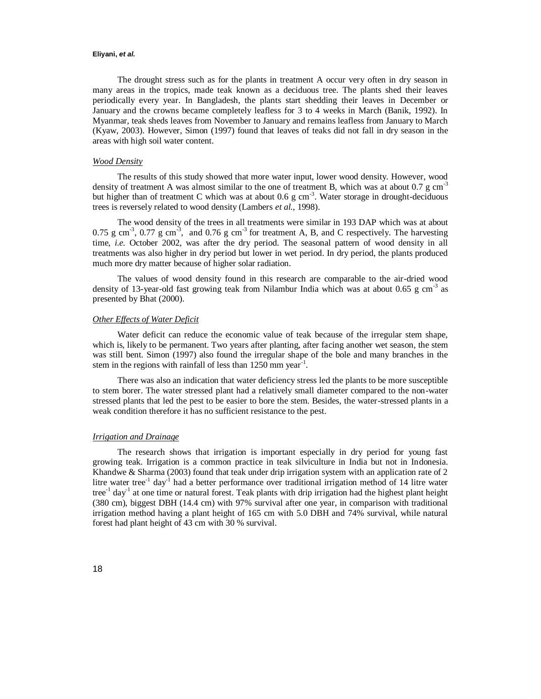#### **Eliyani,** *et al.*

The drought stress such as for the plants in treatment A occur very often in dry season in many areas in the tropics, made teak known as a deciduous tree. The plants shed their leaves periodically every year. In Bangladesh, the plants start shedding their leaves in December or January and the crowns became completely leafless for 3 to 4 weeks in March (Banik, 1992). In Myanmar, teak sheds leaves from November to January and remains leafless from January to March (Kyaw, 2003). However, Simon (1997) found that leaves of teaks did not fall in dry season in the areas with high soil water content.

## *Wood Density*

The results of this study showed that more water input, lower wood density. However, wood density of treatment A was almost similar to the one of treatment B, which was at about 0.7 g  $cm^{-3}$ but higher than of treatment C which was at about 0.6 g  $cm^{-3}$ . Water storage in drought-deciduous trees is reversely related to wood density (Lambers *et al.*, 1998).

The wood density of the trees in all treatments were similar in 193 DAP which was at about 0.75 g cm<sup>-3</sup>, 0.77 g cm<sup>-3</sup>, and 0.76 g cm<sup>-3</sup> for treatment A, B, and C respectively. The harvesting time, *i.e.* October 2002, was after the dry period. The seasonal pattern of wood density in all treatments was also higher in dry period but lower in wet period. In dry period, the plants produced much more dry matter because of higher solar radiation.

The values of wood density found in this research are comparable to the air-dried wood density of 13-year-old fast growing teak from Nilambur India which was at about 0.65 g cm<sup>-3</sup> as presented by Bhat (2000).

#### *Other Effects of Water Deficit*

Water deficit can reduce the economic value of teak because of the irregular stem shape, which is, likely to be permanent. Two years after planting, after facing another wet season, the stem was still bent. Simon (1997) also found the irregular shape of the bole and many branches in the stem in the regions with rainfall of less than  $1250$  mm year<sup>-1</sup>.

There was also an indication that water deficiency stress led the plants to be more susceptible to stem borer. The water stressed plant had a relatively small diameter compared to the non-water stressed plants that led the pest to be easier to bore the stem. Besides, the water-stressed plants in a weak condition therefore it has no sufficient resistance to the pest.

### *Irrigation and Drainage*

The research shows that irrigation is important especially in dry period for young fast growing teak. Irrigation is a common practice in teak silviculture in India but not in Indonesia. Khandwe & Sharma (2003) found that teak under drip irrigation system with an application rate of 2 litre water tree<sup>-1</sup> day<sup>-1</sup> had a better performance over traditional irrigation method of 14 litre water tree<sup>-1</sup> day<sup>-1</sup> at one time or natural forest. Teak plants with drip irrigation had the highest plant height (380 cm), biggest DBH (14.4 cm) with 97% survival after one year, in comparison with traditional irrigation method having a plant height of 165 cm with 5.0 DBH and 74% survival, while natural forest had plant height of 43 cm with 30 % survival.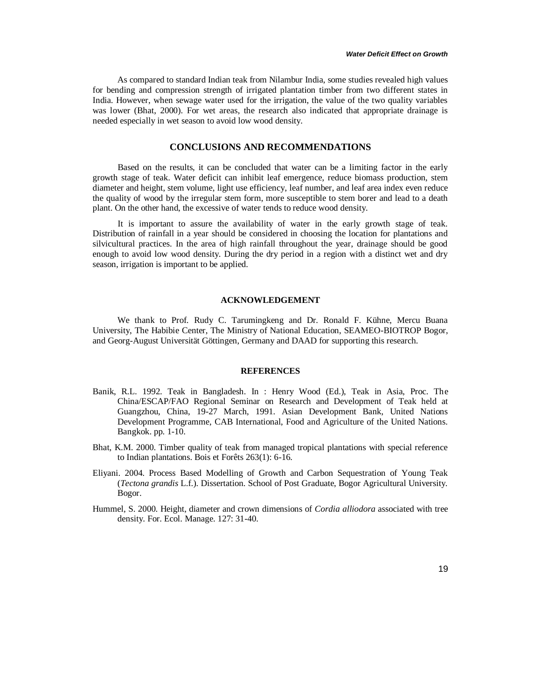As compared to standard Indian teak from Nilambur India, some studies revealed high values for bending and compression strength of irrigated plantation timber from two different states in India. However, when sewage water used for the irrigation, the value of the two quality variables was lower (Bhat, 2000). For wet areas, the research also indicated that appropriate drainage is needed especially in wet season to avoid low wood density.

## **CONCLUSIONS AND RECOMMENDATIONS**

Based on the results, it can be concluded that water can be a limiting factor in the early growth stage of teak. Water deficit can inhibit leaf emergence, reduce biomass production, stem diameter and height, stem volume, light use efficiency, leaf number, and leaf area index even reduce the quality of wood by the irregular stem form, more susceptible to stem borer and lead to a death plant. On the other hand, the excessive of water tends to reduce wood density.

It is important to assure the availability of water in the early growth stage of teak. Distribution of rainfall in a year should be considered in choosing the location for plantations and silvicultural practices. In the area of high rainfall throughout the year, drainage should be good enough to avoid low wood density. During the dry period in a region with a distinct wet and dry season, irrigation is important to be applied.

#### **ACKNOWLEDGEMENT**

We thank to Prof. Rudy C. Tarumingkeng and Dr. Ronald F. Kühne, Mercu Buana University, The Habibie Center, The Ministry of National Education, SEAMEO-BIOTROP Bogor, and Georg-August Universität Göttingen, Germany and DAAD for supporting this research.

# **REFERENCES**

- Banik, R.L. 1992. Teak in Bangladesh. In : Henry Wood (Ed.), Teak in Asia, Proc. The China/ESCAP/FAO Regional Seminar on Research and Development of Teak held at Guangzhou, China, 19-27 March, 1991. Asian Development Bank, United Nations Development Programme, CAB International, Food and Agriculture of the United Nations. Bangkok. pp. 1-10.
- Bhat, K.M. 2000. Timber quality of teak from managed tropical plantations with special reference to Indian plantations. Bois et Forêts 263(1): 6-16.
- Eliyani. 2004. Process Based Modelling of Growth and Carbon Sequestration of Young Teak (*Tectona grandis* L.f.). Dissertation. School of Post Graduate, Bogor Agricultural University. Bogor.
- Hummel, S. 2000. Height, diameter and crown dimensions of *Cordia alliodora* associated with tree density. For. Ecol. Manage. 127: 31-40.